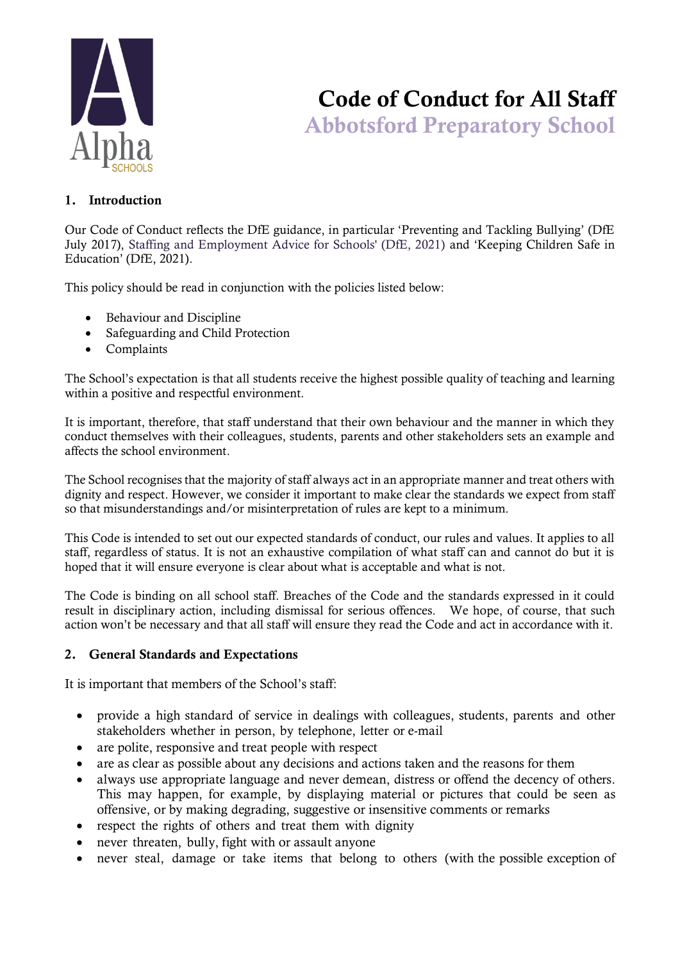

# Code of Conduct for All Staff Abbotsford Preparatory School

#### 1. Introduction

Our Code of Conduct reflects the DfE guidance, in particular 'Preventing and Tackling Bullying' (DfE July 2017), Staffing and Employment Advice for Schools' (DfE, 2021) and 'Keeping Children Safe in Education' (DfE, 2021).

This policy should be read in conjunction with the policies listed below:

- Behaviour and Discipline
- Safeguarding and Child Protection
- Complaints

The School's expectation is that all students receive the highest possible quality of teaching and learning within a positive and respectful environment.

It is important, therefore, that staff understand that their own behaviour and the manner in which they conduct themselves with their colleagues, students, parents and other stakeholders sets an example and affects the school environment.

The School recognises that the majority of staff always act in an appropriate manner and treat others with dignity and respect. However, we consider it important to make clear the standards we expect from staff so that misunderstandings and/or misinterpretation of rules are kept to a minimum.

This Code is intended to set out our expected standards of conduct, our rules and values. It applies to all staff, regardless of status. It is not an exhaustive compilation of what staff can and cannot do but it is hoped that it will ensure everyone is clear about what is acceptable and what is not.

The Code is binding on all school staff. Breaches of the Code and the standards expressed in it could result in disciplinary action, including dismissal for serious offences. We hope, of course, that such action won't be necessary and that all staff will ensure they read the Code and act in accordance with it.

#### 2. General Standards and Expectations

It is important that members of the School's staff:

- provide a high standard of service in dealings with colleagues, students, parents and other stakeholders whether in person, by telephone, letter or e-mail
- are polite, responsive and treat people with respect
- are as clear as possible about any decisions and actions taken and the reasons for them
- always use appropriate language and never demean, distress or offend the decency of others. This may happen, for example, by displaying material or pictures that could be seen as offensive, or by making degrading, suggestive or insensitive comments or remarks
- respect the rights of others and treat them with dignity
- never threaten, bully, fight with or assault anyone
- never steal, damage or take items that belong to others (with the possible exception of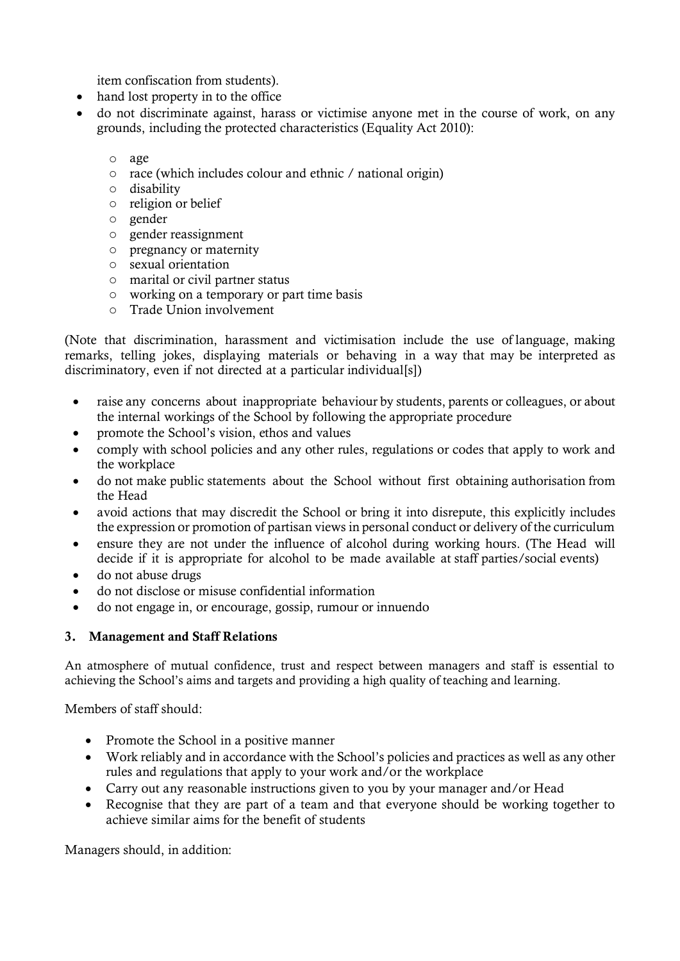item confiscation from students).

- hand lost property in to the office
- do not discriminate against, harass or victimise anyone met in the course of work, on any grounds, including the protected characteristics (Equality Act 2010):
	- o age
	- o race (which includes colour and ethnic / national origin)
	- o disability
	- o religion or belief
	- o gender
	- o gender reassignment
	- o pregnancy or maternity
	- o sexual orientation
	- o marital or civil partner status
	- o working on a temporary or part time basis
	- o Trade Union involvement

(Note that discrimination, harassment and victimisation include the use of language, making remarks, telling jokes, displaying materials or behaving in a way that may be interpreted as discriminatory, even if not directed at a particular individual[s])

- raise any concerns about inappropriate behaviour by students, parents or colleagues, or about the internal workings of the School by following the appropriate procedure
- promote the School's vision, ethos and values
- comply with school policies and any other rules, regulations or codes that apply to work and the workplace
- do not make public statements about the School without first obtaining authorisation from the Head
- avoid actions that may discredit the School or bring it into disrepute, this explicitly includes the expression or promotion of partisan views in personal conduct or delivery of the curriculum
- ensure they are not under the influence of alcohol during working hours. (The Head will decide if it is appropriate for alcohol to be made available at staff parties/social events)
- do not abuse drugs
- do not disclose or misuse confidential information
- do not engage in, or encourage, gossip, rumour or innuendo

# 3. Management and Staff Relations

An atmosphere of mutual confidence, trust and respect between managers and staff is essential to achieving the School's aims and targets and providing a high quality of teaching and learning.

Members of staff should:

- Promote the School in a positive manner
- Work reliably and in accordance with the School's policies and practices as well as any other rules and regulations that apply to your work and/or the workplace
- Carry out any reasonable instructions given to you by your manager and/or Head
- Recognise that they are part of a team and that everyone should be working together to achieve similar aims for the benefit of students

Managers should, in addition: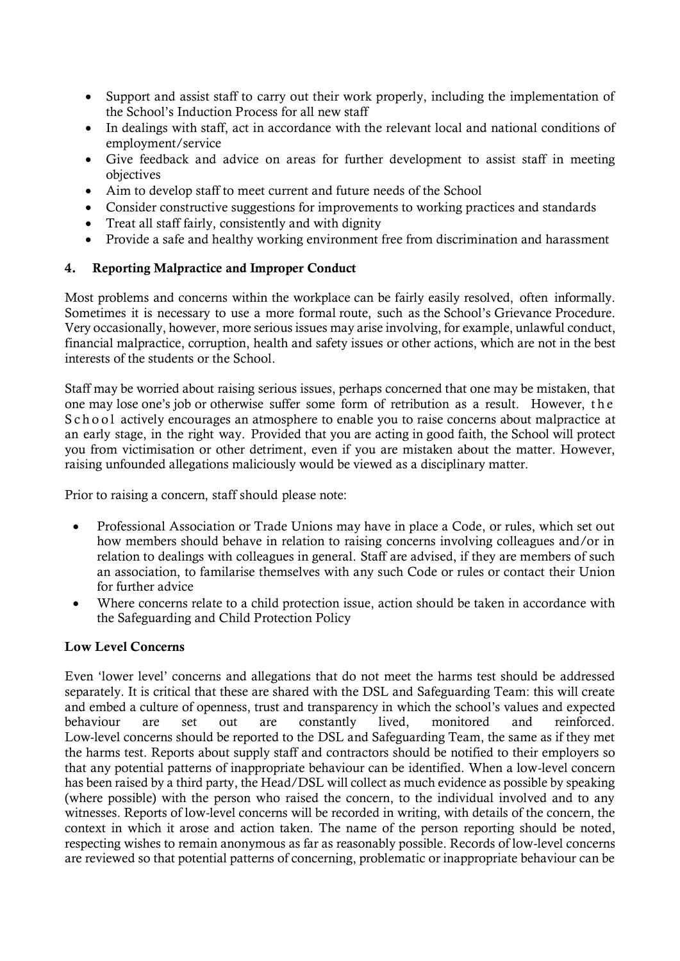- Support and assist staff to carry out their work properly, including the implementation of the School's Induction Process for all new staff
- In dealings with staff, act in accordance with the relevant local and national conditions of employment/service
- Give feedback and advice on areas for further development to assist staff in meeting objectives
- Aim to develop staff to meet current and future needs of the School
- Consider constructive suggestions for improvements to working practices and standards
- Treat all staff fairly, consistently and with dignity
- Provide a safe and healthy working environment free from discrimination and harassment

#### 4. Reporting Malpractice and Improper Conduct

Most problems and concerns within the workplace can be fairly easily resolved, often informally. Sometimes it is necessary to use a more formal route, such as the School's Grievance Procedure. Very occasionally, however, more serious issues may arise involving, for example, unlawful conduct, financial malpractice, corruption, health and safety issues or other actions, which are not in the best interests of the students or the School.

Staff may be worried about raising serious issues, perhaps concerned that one may be mistaken, that one may lose one's job or otherwise suffer some form of retribution as a result. However, t h e S c h o o l actively encourages an atmosphere to enable you to raise concerns about malpractice at an early stage, in the right way. Provided that you are acting in good faith, the School will protect you from victimisation or other detriment, even if you are mistaken about the matter. However, raising unfounded allegations maliciously would be viewed as a disciplinary matter.

Prior to raising a concern, staff should please note:

- Professional Association or Trade Unions may have in place a Code, or rules, which set out how members should behave in relation to raising concerns involving colleagues and/or in relation to dealings with colleagues in general. Staff are advised, if they are members of such an association, to familarise themselves with any such Code or rules or contact their Union for further advice
- Where concerns relate to a child protection issue, action should be taken in accordance with the Safeguarding and Child Protection Policy

#### Low Level Concerns

Even 'lower level' concerns and allegations that do not meet the harms test should be addressed separately. It is critical that these are shared with the DSL and Safeguarding Team: this will create and embed a culture of openness, trust and transparency in which the school's values and expected behaviour are set out are constantly lived, monitored and reinforced. Low-level concerns should be reported to the DSL and Safeguarding Team, the same as if they met the harms test. Reports about supply staff and contractors should be notified to their employers so that any potential patterns of inappropriate behaviour can be identified. When a low-level concern has been raised by a third party, the Head/DSL will collect as much evidence as possible by speaking (where possible) with the person who raised the concern, to the individual involved and to any witnesses. Reports of low-level concerns will be recorded in writing, with details of the concern, the context in which it arose and action taken. The name of the person reporting should be noted, respecting wishes to remain anonymous as far as reasonably possible. Records of low-level concerns are reviewed so that potential patterns of concerning, problematic or inappropriate behaviour can be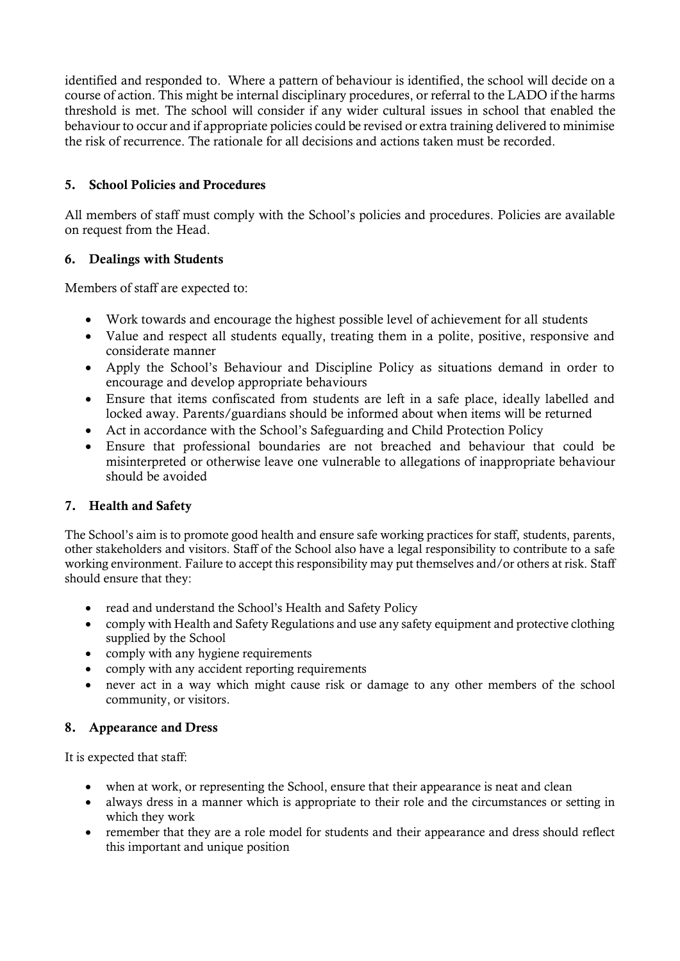identified and responded to. Where a pattern of behaviour is identified, the school will decide on a course of action. This might be internal disciplinary procedures, or referral to the LADO if the harms threshold is met. The school will consider if any wider cultural issues in school that enabled the behaviour to occur and if appropriate policies could be revised or extra training delivered to minimise the risk of recurrence. The rationale for all decisions and actions taken must be recorded.

# 5. School Policies and Procedures

All members of staff must comply with the School's policies and procedures. Policies are available on request from the Head.

# 6. Dealings with Students

Members of staff are expected to:

- Work towards and encourage the highest possible level of achievement for all students
- Value and respect all students equally, treating them in a polite, positive, responsive and considerate manner
- Apply the School's Behaviour and Discipline Policy as situations demand in order to encourage and develop appropriate behaviours
- Ensure that items confiscated from students are left in a safe place, ideally labelled and locked away. Parents/guardians should be informed about when items will be returned
- Act in accordance with the School's Safeguarding and Child Protection Policy
- Ensure that professional boundaries are not breached and behaviour that could be misinterpreted or otherwise leave one vulnerable to allegations of inappropriate behaviour should be avoided

# 7. Health and Safety

The School's aim is to promote good health and ensure safe working practices for staff, students, parents, other stakeholders and visitors. Staff of the School also have a legal responsibility to contribute to a safe working environment. Failure to accept this responsibility may put themselves and/or others at risk. Staff should ensure that they:

- read and understand the School's Health and Safety Policy
- comply with Health and Safety Regulations and use any safety equipment and protective clothing supplied by the School
- comply with any hygiene requirements
- comply with any accident reporting requirements
- never act in a way which might cause risk or damage to any other members of the school community, or visitors.

# 8. Appearance and Dress

It is expected that staff:

- when at work, or representing the School, ensure that their appearance is neat and clean
- always dress in a manner which is appropriate to their role and the circumstances or setting in which they work
- remember that they are a role model for students and their appearance and dress should reflect this important and unique position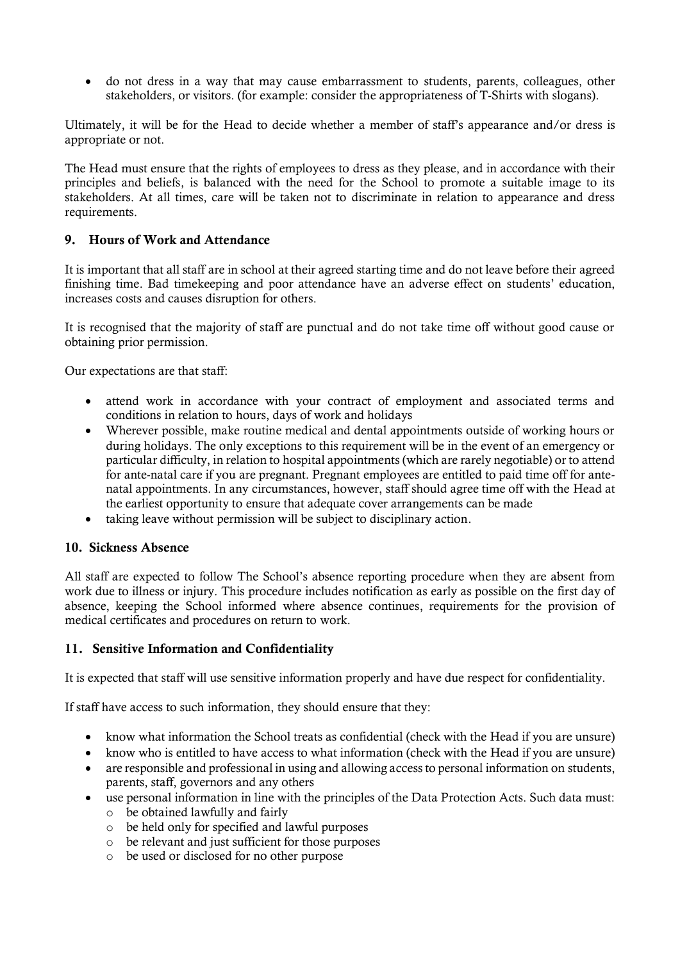• do not dress in a way that may cause embarrassment to students, parents, colleagues, other stakeholders, or visitors. (for example: consider the appropriateness of T-Shirts with slogans).

Ultimately, it will be for the Head to decide whether a member of staff's appearance and/or dress is appropriate or not.

The Head must ensure that the rights of employees to dress as they please, and in accordance with their principles and beliefs, is balanced with the need for the School to promote a suitable image to its stakeholders. At all times, care will be taken not to discriminate in relation to appearance and dress requirements.

#### 9. Hours of Work and Attendance

It is important that all staff are in school at their agreed starting time and do not leave before their agreed finishing time. Bad timekeeping and poor attendance have an adverse effect on students' education, increases costs and causes disruption for others.

It is recognised that the majority of staff are punctual and do not take time off without good cause or obtaining prior permission.

Our expectations are that staff:

- attend work in accordance with your contract of employment and associated terms and conditions in relation to hours, days of work and holidays
- Wherever possible, make routine medical and dental appointments outside of working hours or during holidays. The only exceptions to this requirement will be in the event of an emergency or particular difficulty, in relation to hospital appointments (which are rarely negotiable) or to attend for ante-natal care if you are pregnant. Pregnant employees are entitled to paid time off for antenatal appointments. In any circumstances, however, staff should agree time off with the Head at the earliest opportunity to ensure that adequate cover arrangements can be made
- taking leave without permission will be subject to disciplinary action.

#### 10. Sickness Absence

All staff are expected to follow The School's absence reporting procedure when they are absent from work due to illness or injury. This procedure includes notification as early as possible on the first day of absence, keeping the School informed where absence continues, requirements for the provision of medical certificates and procedures on return to work.

#### 11. Sensitive Information and Confidentiality

It is expected that staff will use sensitive information properly and have due respect for confidentiality.

If staff have access to such information, they should ensure that they:

- know what information the School treats as confidential (check with the Head if you are unsure)
- know who is entitled to have access to what information (check with the Head if you are unsure)
- are responsible and professional in using and allowing access to personal information on students, parents, staff, governors and any others
- use personal information in line with the principles of the Data Protection Acts. Such data must: o be obtained lawfully and fairly
	- o be held only for specified and lawful purposes
	- o be relevant and just sufficient for those purposes
	- o be used or disclosed for no other purpose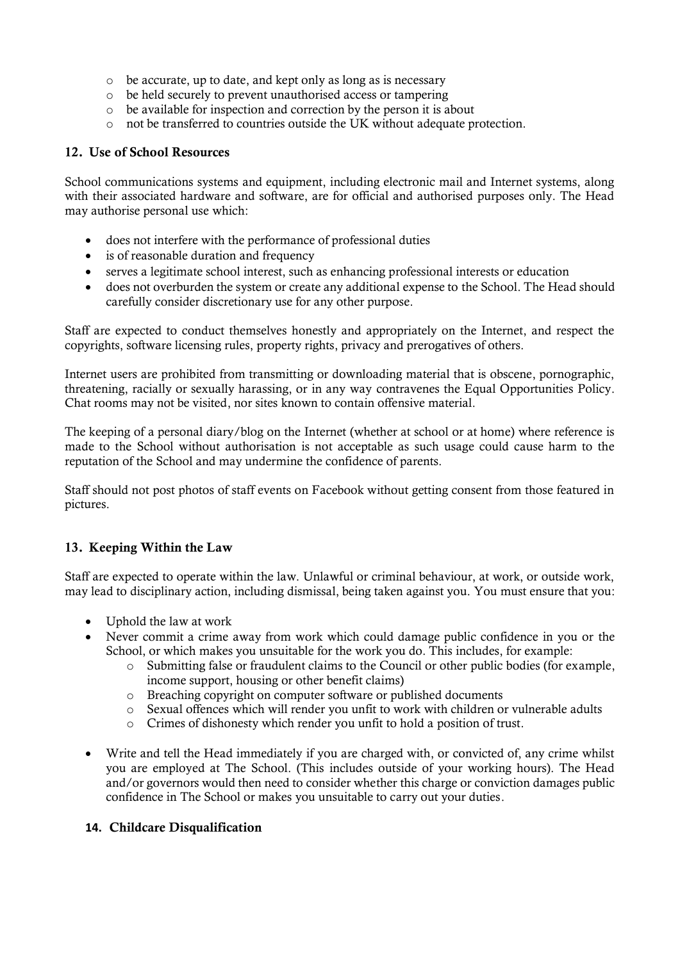- o be accurate, up to date, and kept only as long as is necessary
- o be held securely to prevent unauthorised access or tampering
- o be available for inspection and correction by the person it is about
- o not be transferred to countries outside the UK without adequate protection.

#### 12. Use of School Resources

School communications systems and equipment, including electronic mail and Internet systems, along with their associated hardware and software, are for official and authorised purposes only. The Head may authorise personal use which:

- does not interfere with the performance of professional duties
- is of reasonable duration and frequency
- serves a legitimate school interest, such as enhancing professional interests or education
- does not overburden the system or create any additional expense to the School. The Head should carefully consider discretionary use for any other purpose.

Staff are expected to conduct themselves honestly and appropriately on the Internet, and respect the copyrights, software licensing rules, property rights, privacy and prerogatives of others.

Internet users are prohibited from transmitting or downloading material that is obscene, pornographic, threatening, racially or sexually harassing, or in any way contravenes the Equal Opportunities Policy. Chat rooms may not be visited, nor sites known to contain offensive material.

The keeping of a personal diary/blog on the Internet (whether at school or at home) where reference is made to the School without authorisation is not acceptable as such usage could cause harm to the reputation of the School and may undermine the confidence of parents.

Staff should not post photos of staff events on Facebook without getting consent from those featured in pictures.

# 13. Keeping Within the Law

Staff are expected to operate within the law. Unlawful or criminal behaviour, at work, or outside work, may lead to disciplinary action, including dismissal, being taken against you. You must ensure that you:

- Uphold the law at work
- Never commit a crime away from work which could damage public confidence in you or the School, or which makes you unsuitable for the work you do. This includes, for example:
	- $\circ$  Submitting false or fraudulent claims to the Council or other public bodies (for example, income support, housing or other benefit claims)
	- o Breaching copyright on computer software or published documents
	- o Sexual offences which will render you unfit to work with children or vulnerable adults
	- o Crimes of dishonesty which render you unfit to hold a position of trust.
- Write and tell the Head immediately if you are charged with, or convicted of, any crime whilst you are employed at The School. (This includes outside of your working hours). The Head and/or governors would then need to consider whether this charge or conviction damages public confidence in The School or makes you unsuitable to carry out your duties.

#### **14.** Childcare Disqualification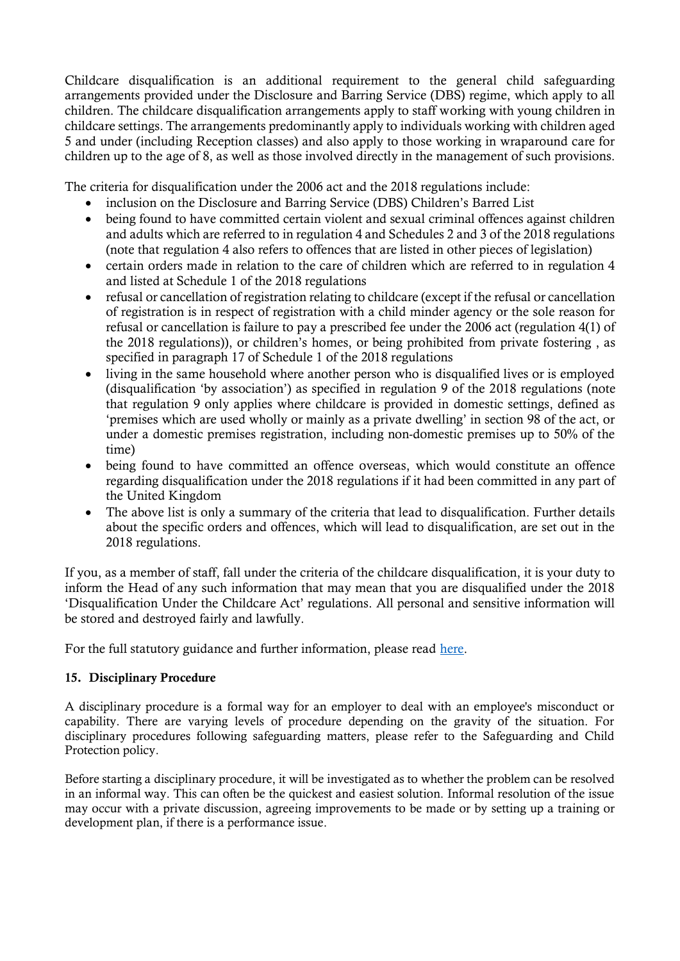Childcare disqualification is an additional requirement to the general child safeguarding arrangements provided under the Disclosure and Barring Service (DBS) regime, which apply to all children. The childcare disqualification arrangements apply to staff working with young children in childcare settings. The arrangements predominantly apply to individuals working with children aged 5 and under (including Reception classes) and also apply to those working in wraparound care for children up to the age of 8, as well as those involved directly in the management of such provisions.

The criteria for disqualification under the 2006 act and the 2018 regulations include:

- inclusion on the Disclosure and Barring Service (DBS) Children's Barred List
- being found to have committed certain violent and sexual criminal offences against children and adults which are referred to in regulation 4 and Schedules 2 and 3 of the 2018 regulations (note that regulation 4 also refers to offences that are listed in other pieces of legislation)
- certain orders made in relation to the care of children which are referred to in regulation 4 and listed at Schedule 1 of the 2018 regulations
- refusal or cancellation of registration relating to childcare (except if the refusal or cancellation of registration is in respect of registration with a child minder agency or the sole reason for refusal or cancellation is failure to pay a prescribed fee under the 2006 act (regulation 4(1) of the 2018 regulations)), or children's homes, or being prohibited from private fostering , as specified in paragraph 17 of Schedule 1 of the 2018 regulations
- living in the same household where another person who is disqualified lives or is employed (disqualification 'by association') as specified in regulation 9 of the 2018 regulations (note that regulation 9 only applies where childcare is provided in domestic settings, defined as 'premises which are used wholly or mainly as a private dwelling' in section 98 of the act, or under a domestic premises registration, including non-domestic premises up to 50% of the time)
- being found to have committed an offence overseas, which would constitute an offence regarding disqualification under the 2018 regulations if it had been committed in any part of the United Kingdom
- The above list is only a summary of the criteria that lead to disqualification. Further details about the specific orders and offences, which will lead to disqualification, are set out in the 2018 regulations.

If you, as a member of staff, fall under the criteria of the childcare disqualification, it is your duty to inform the Head of any such information that may mean that you are disqualified under the 2018 'Disqualification Under the Childcare Act' regulations. All personal and sensitive information will be stored and destroyed fairly and lawfully.

For the full statutory guidance and further information, please read [here.](https://www.gov.uk/government/publications/disqualification-under-the-childcare-act-2006/disqualification-under-the-childcare-act-2006)

#### 15. Disciplinary Procedure

A disciplinary procedure is a formal way for an employer to deal with an employee's misconduct or capability. There are varying levels of procedure depending on the gravity of the situation. For disciplinary procedures following safeguarding matters, please refer to the Safeguarding and Child Protection policy.

Before starting a disciplinary procedure, it will be investigated as to whether the problem can be resolved in an informal way. This can often be the quickest and easiest solution. Informal resolution of the issue may occur with a private discussion, agreeing improvements to be made or by setting up a training or development plan, if there is a performance issue.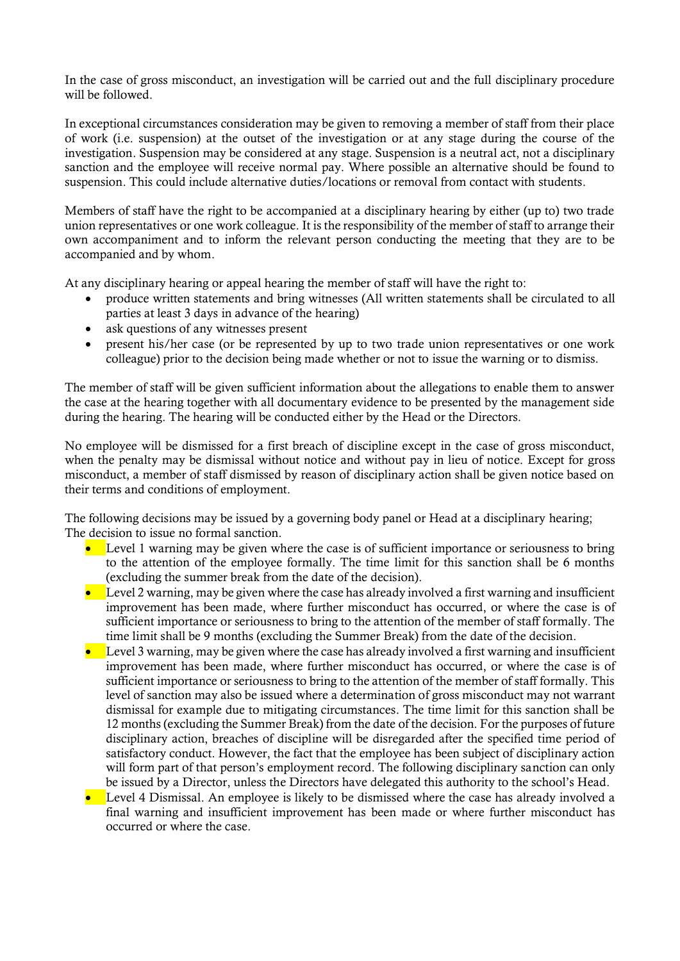In the case of gross misconduct, an investigation will be carried out and the full disciplinary procedure will be followed.

In exceptional circumstances consideration may be given to removing a member of staff from their place of work (i.e. suspension) at the outset of the investigation or at any stage during the course of the investigation. Suspension may be considered at any stage. Suspension is a neutral act, not a disciplinary sanction and the employee will receive normal pay. Where possible an alternative should be found to suspension. This could include alternative duties/locations or removal from contact with students.

Members of staff have the right to be accompanied at a disciplinary hearing by either (up to) two trade union representatives or one work colleague. It is the responsibility of the member of staff to arrange their own accompaniment and to inform the relevant person conducting the meeting that they are to be accompanied and by whom.

At any disciplinary hearing or appeal hearing the member of staff will have the right to:

- produce written statements and bring witnesses (All written statements shall be circulated to all parties at least 3 days in advance of the hearing)
- ask questions of any witnesses present
- present his/her case (or be represented by up to two trade union representatives or one work colleague) prior to the decision being made whether or not to issue the warning or to dismiss.

The member of staff will be given sufficient information about the allegations to enable them to answer the case at the hearing together with all documentary evidence to be presented by the management side during the hearing. The hearing will be conducted either by the Head or the Directors.

No employee will be dismissed for a first breach of discipline except in the case of gross misconduct, when the penalty may be dismissal without notice and without pay in lieu of notice. Except for gross misconduct, a member of staff dismissed by reason of disciplinary action shall be given notice based on their terms and conditions of employment.

The following decisions may be issued by a governing body panel or Head at a disciplinary hearing; The decision to issue no formal sanction.

- Level 1 warning may be given where the case is of sufficient importance or seriousness to bring to the attention of the employee formally. The time limit for this sanction shall be 6 months (excluding the summer break from the date of the decision).
- Level 2 warning, may be given where the case has already involved a first warning and insufficient improvement has been made, where further misconduct has occurred, or where the case is of sufficient importance or seriousness to bring to the attention of the member of staff formally. The time limit shall be 9 months (excluding the Summer Break) from the date of the decision.
- Level 3 warning, may be given where the case has already involved a first warning and insufficient improvement has been made, where further misconduct has occurred, or where the case is of sufficient importance or seriousness to bring to the attention of the member of staff formally. This level of sanction may also be issued where a determination of gross misconduct may not warrant dismissal for example due to mitigating circumstances. The time limit for this sanction shall be 12 months (excluding the Summer Break) from the date of the decision. For the purposes of future disciplinary action, breaches of discipline will be disregarded after the specified time period of satisfactory conduct. However, the fact that the employee has been subject of disciplinary action will form part of that person's employment record. The following disciplinary sanction can only be issued by a Director, unless the Directors have delegated this authority to the school's Head.
- Level 4 Dismissal. An employee is likely to be dismissed where the case has already involved a final warning and insufficient improvement has been made or where further misconduct has occurred or where the case.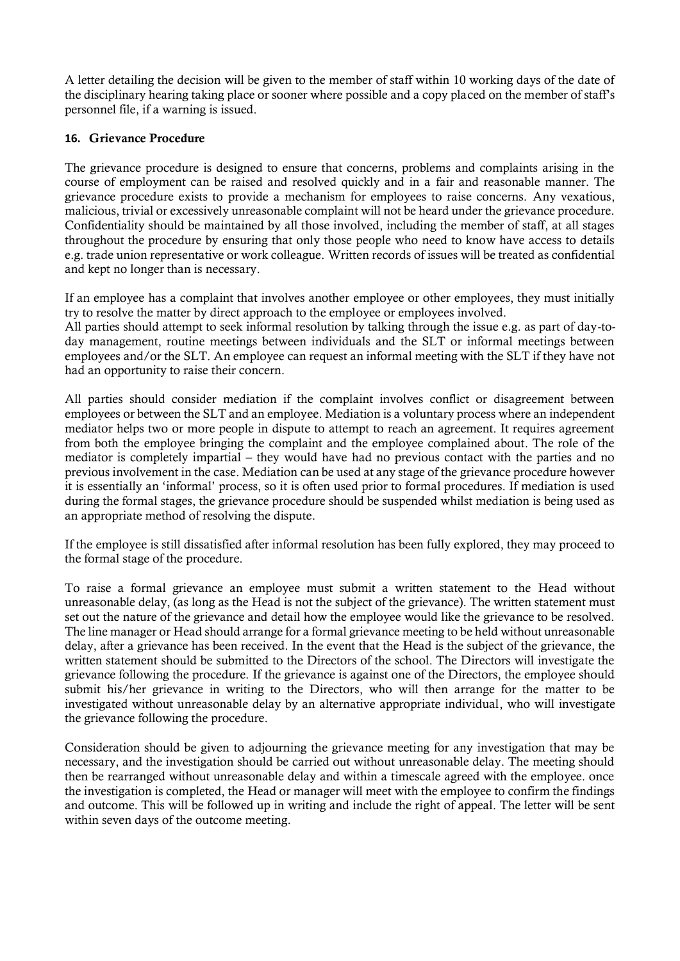A letter detailing the decision will be given to the member of staff within 10 working days of the date of the disciplinary hearing taking place or sooner where possible and a copy placed on the member of staff's personnel file, if a warning is issued.

#### **16.** Grievance Procedure

The grievance procedure is designed to ensure that concerns, problems and complaints arising in the course of employment can be raised and resolved quickly and in a fair and reasonable manner. The grievance procedure exists to provide a mechanism for employees to raise concerns. Any vexatious, malicious, trivial or excessively unreasonable complaint will not be heard under the grievance procedure. Confidentiality should be maintained by all those involved, including the member of staff, at all stages throughout the procedure by ensuring that only those people who need to know have access to details e.g. trade union representative or work colleague. Written records of issues will be treated as confidential and kept no longer than is necessary.

If an employee has a complaint that involves another employee or other employees, they must initially try to resolve the matter by direct approach to the employee or employees involved.

All parties should attempt to seek informal resolution by talking through the issue e.g. as part of day-today management, routine meetings between individuals and the SLT or informal meetings between employees and/or the SLT. An employee can request an informal meeting with the SLT if they have not had an opportunity to raise their concern.

All parties should consider mediation if the complaint involves conflict or disagreement between employees or between the SLT and an employee. Mediation is a voluntary process where an independent mediator helps two or more people in dispute to attempt to reach an agreement. It requires agreement from both the employee bringing the complaint and the employee complained about. The role of the mediator is completely impartial – they would have had no previous contact with the parties and no previous involvement in the case. Mediation can be used at any stage of the grievance procedure however it is essentially an 'informal' process, so it is often used prior to formal procedures. If mediation is used during the formal stages, the grievance procedure should be suspended whilst mediation is being used as an appropriate method of resolving the dispute.

If the employee is still dissatisfied after informal resolution has been fully explored, they may proceed to the formal stage of the procedure.

To raise a formal grievance an employee must submit a written statement to the Head without unreasonable delay, (as long as the Head is not the subject of the grievance). The written statement must set out the nature of the grievance and detail how the employee would like the grievance to be resolved. The line manager or Head should arrange for a formal grievance meeting to be held without unreasonable delay, after a grievance has been received. In the event that the Head is the subject of the grievance, the written statement should be submitted to the Directors of the school. The Directors will investigate the grievance following the procedure. If the grievance is against one of the Directors, the employee should submit his/her grievance in writing to the Directors, who will then arrange for the matter to be investigated without unreasonable delay by an alternative appropriate individual, who will investigate the grievance following the procedure.

Consideration should be given to adjourning the grievance meeting for any investigation that may be necessary, and the investigation should be carried out without unreasonable delay. The meeting should then be rearranged without unreasonable delay and within a timescale agreed with the employee. once the investigation is completed, the Head or manager will meet with the employee to confirm the findings and outcome. This will be followed up in writing and include the right of appeal. The letter will be sent within seven days of the outcome meeting.